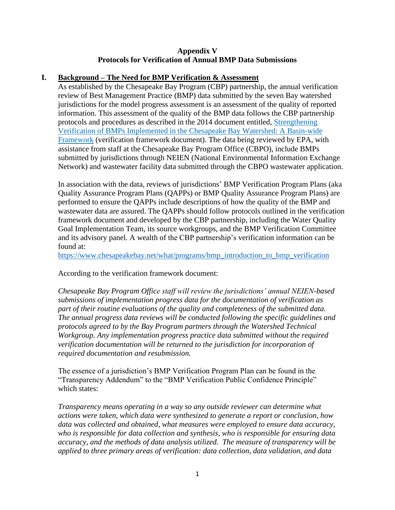## **Appendix V Protocols for Verification of Annual BMP Data Submissions**

## **I. Background – The Need for BMP Verification & Assessment**

As established by the Chesapeake Bay Program (CBP) partnership, the annual verification review of Best Management Practice (BMP) data submitted by the seven Bay watershed jurisdictions for the model progress assessment is an assessment of the quality of reported information. This assessment of the quality of the BMP data follows the CBP partnership protocols and procedures as described in the 2014 document entitled, [Strengthening](https://www.chesapeakebay.net/documents/Complete%20CBP%20BMP%20Verification%20Framwork%20with%20appendices.pdf)  [Verification of BMPs Implemented in the Chesapeake Bay Watershed: A Basin-wide](https://www.chesapeakebay.net/documents/Complete%20CBP%20BMP%20Verification%20Framwork%20with%20appendices.pdf)  [Framework](https://www.chesapeakebay.net/documents/Complete%20CBP%20BMP%20Verification%20Framwork%20with%20appendices.pdf) (verification framework document). The data being reviewed by EPA, with assistance from staff at the Chesapeake Bay Program Office (CBPO), include BMPs submitted by jurisdictions through NEIEN (National Environmental Information Exchange Network) and wastewater facility data submitted through the CBPO wastewater application.

In association with the data, reviews of jurisdictions' BMP Verification Program Plans (aka Quality Assurance Program Plans (QAPPs) or BMP Quality Assurance Program Plans) are performed to ensure the QAPPs include descriptions of how the quality of the BMP and wastewater data are assured. The QAPPs should follow protocols outlined in the verification framework document and developed by the CBP partnership, including the Water Quality Goal Implementation Team, its source workgroups, and the BMP Verification Committee and its advisory panel. A wealth of the CBP partnership's verification information can be found at:

[https://www.chesapeakebay.net/what/programs/bmp\\_introduction\\_to\\_bmp\\_verification](https://www.chesapeakebay.net/what/programs/bmp_introduction_to_bmp_verification)

According to the verification framework document:

*Chesapeake Bay Program Office staff will review the jurisdictions' annual NEIEN-based submissions of implementation progress data for the documentation of verification as part of their routine evaluations of the quality and completeness of the submitted data. The annual progress data reviews will be conducted following the specific guidelines and protocols agreed to by the Bay Program partners through the Watershed Technical Workgroup. Any implementation progress practice data submitted without the required verification documentation will be returned to the jurisdiction for incorporation of required documentation and resubmission.*

The essence of a jurisdiction's BMP Verification Program Plan can be found in the "Transparency Addendum" to the "BMP Verification Public Confidence Principle" which states:

*Transparency means operating in a way so any outside reviewer can determine what actions were taken, which data were synthesized to generate a report or conclusion, how data was collected and obtained, what measures were employed to ensure data accuracy, who is responsible for data collection and synthesis, who is responsible for ensuring data accuracy, and the methods of data analysis utilized. The measure of transparency will be applied to three primary areas of verification: data collection, data validation, and data*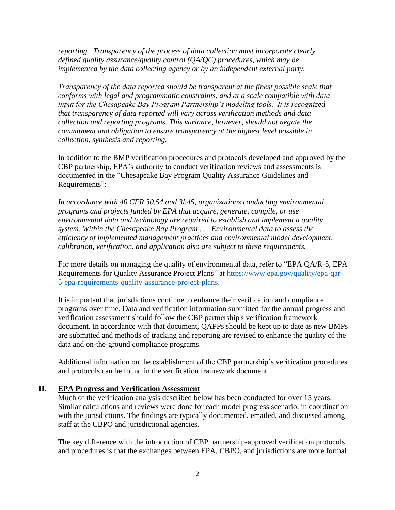*reporting. Transparency of the process of data collection must incorporate clearly defined quality assurance/quality control (QA/QC) procedures, which may be implemented by the data collecting agency or by an independent external party.*

*Transparency of the data reported should be transparent at the finest possible scale that conforms with legal and programmatic constraints, and at a scale compatible with data input for the Chesapeake Bay Program Partnership's modeling tools. It is recognized that transparency of data reported will vary across verification methods and data collection and reporting programs. This variance, however, should not negate the commitment and obligation to ensure transparency at the highest level possible in collection, synthesis and reporting.*

In addition to the BMP verification procedures and protocols developed and approved by the CBP partnership, EPA's authority to conduct verification reviews and assessments is documented in the "Chesapeake Bay Program Quality Assurance Guidelines and Requirements":

*In accordance with 40 CFR 30.54 and 3l.45, organizations conducting environmental programs and projects funded by EPA that acquire, generate, compile, or use environmental data and technology are required to establish and implement a quality system. Within the Chesapeake Bay Program . . . Environmental data to assess the efficiency of implemented management practices and environmental model development, calibration, verification, and application also are subject to these requirements.* 

For more details on managing the quality of environmental data, refer to "EPA QA/R-5, EPA Requirements for Quality Assurance Project Plans" at [https://www.epa.gov/quality/epa-qar-](https://www.epa.gov/quality/epa-qar-5-epa-requirements-quality-assurance-project-plans)[5-epa-requirements-quality-assurance-project-plans.](https://www.epa.gov/quality/epa-qar-5-epa-requirements-quality-assurance-project-plans)

It is important that jurisdictions continue to enhance their verification and compliance programs over time. Data and verification information submitted for the annual progress and verification assessment should follow the CBP partnership's verification framework document. In accordance with that document, QAPPs should be kept up to date as new BMPs are submitted and methods of tracking and reporting are revised to enhance the quality of the data and on-the-ground compliance programs.

Additional information on the establishment of the CBP partnership's verification procedures and protocols can be found in the verification framework document.

### **II. EPA Progress and Verification Assessment**

Much of the verification analysis described below has been conducted for over 15 years. Similar calculations and reviews were done for each model progress scenario, in coordination with the jurisdictions. The findings are typically documented, emailed, and discussed among staff at the CBPO and jurisdictional agencies.

The key difference with the introduction of CBP partnership-approved verification protocols and procedures is that the exchanges between EPA, CBPO, and jurisdictions are more formal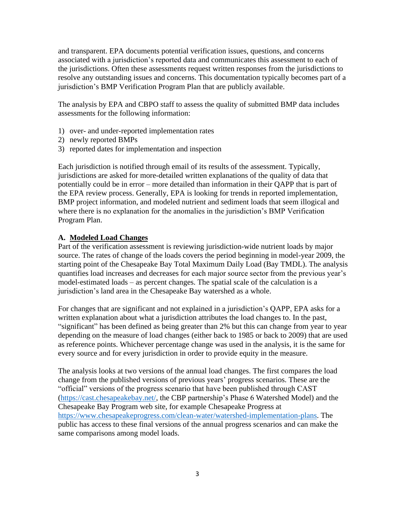and transparent. EPA documents potential verification issues, questions, and concerns associated with a jurisdiction's reported data and communicates this assessment to each of the jurisdictions. Often these assessments request written responses from the jurisdictions to resolve any outstanding issues and concerns. This documentation typically becomes part of a jurisdiction's BMP Verification Program Plan that are publicly available.

The analysis by EPA and CBPO staff to assess the quality of submitted BMP data includes assessments for the following information:

- 1) over- and under-reported implementation rates
- 2) newly reported BMPs
- 3) reported dates for implementation and inspection

Each jurisdiction is notified through email of its results of the assessment. Typically, jurisdictions are asked for more-detailed written explanations of the quality of data that potentially could be in error – more detailed than information in their QAPP that is part of the EPA review process. Generally, EPA is looking for trends in reported implementation, BMP project information, and modeled nutrient and sediment loads that seem illogical and where there is no explanation for the anomalies in the jurisdiction's BMP Verification Program Plan.

### **A. Modeled Load Changes**

Part of the verification assessment is reviewing jurisdiction-wide nutrient loads by major source. The rates of change of the loads covers the period beginning in model-year 2009, the starting point of the Chesapeake Bay Total Maximum Daily Load (Bay TMDL). The analysis quantifies load increases and decreases for each major source sector from the previous year's model-estimated loads – as percent changes. The spatial scale of the calculation is a jurisdiction's land area in the Chesapeake Bay watershed as a whole.

For changes that are significant and not explained in a jurisdiction's QAPP, EPA asks for a written explanation about what a jurisdiction attributes the load changes to. In the past, "significant" has been defined as being greater than 2% but this can change from year to year depending on the measure of load changes (either back to 1985 or back to 2009) that are used as reference points. Whichever percentage change was used in the analysis, it is the same for every source and for every jurisdiction in order to provide equity in the measure.

The analysis looks at two versions of the annual load changes. The first compares the load change from the published versions of previous years' progress scenarios. These are the "official" versions of the progress scenario that have been published through CAST [\(https://cast.chesapeakebay.net/,](https://cast.chesapeakebay.net/) the CBP partnership's Phase 6 Watershed Model) and the Chesapeake Bay Program web site, for example Chesapeake Progress at [https://www.chesapeakeprogress.com/clean-water/watershed-implementation-plans.](https://www.chesapeakeprogress.com/clean-water/watershed-implementation-plans) The public has access to these final versions of the annual progress scenarios and can make the same comparisons among model loads.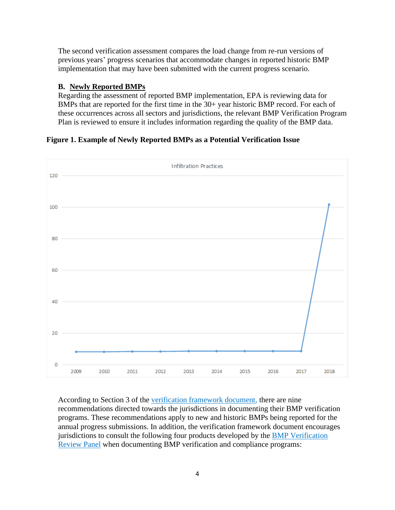The second verification assessment compares the load change from re-run versions of previous years' progress scenarios that accommodate changes in reported historic BMP implementation that may have been submitted with the current progress scenario.

# **B. Newly Reported BMPs**

Regarding the assessment of reported BMP implementation, EPA is reviewing data for BMPs that are reported for the first time in the 30+ year historic BMP record. For each of these occurrences across all sectors and jurisdictions, the relevant BMP Verification Program Plan is reviewed to ensure it includes information regarding the quality of the BMP data.

# **Figure 1. Example of Newly Reported BMPs as a Potential Verification Issue**



According to Section 3 of the [verification framework document,](https://www.chesapeakebay.net/documents/Complete%20CBP%20BMP%20Verification%20Framwork%20with%20appendices.pdf) there are nine recommendations directed towards the jurisdictions in documenting their BMP verification programs. These recommendations apply to new and historic BMPs being reported for the annual progress submissions. In addition, the verification framework document encourages jurisdictions to consult the following four products developed by the **BMP** Verification [Review Panel](https://www.chesapeakebay.net/who/group/bmp_verification_review_panel) when documenting BMP verification and compliance programs: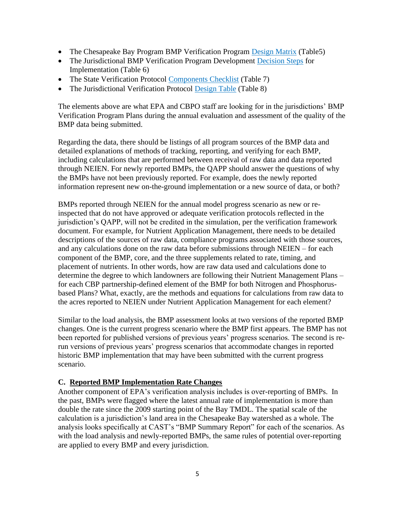- The Chesapeake Bay Program BMP Verification Program [Design Matrix](https://www.chesapeakebay.net/documents/Table_5_verification_webpage.pdf) (Table5)
- The Jurisdictional BMP Verification Program Development [Decision Steps](https://www.chesapeakebay.net/documents/Table_6_Verification_webpage.pdf) for Implementation (Table 6)
- The State Verification Protocol [Components Checklist](https://www.chesapeakebay.net/documents/Table_7_verification_webpage.pdf) (Table 7)
- The Jurisdictional Verification Protocol [Design Table](https://www.chesapeakebay.net/documents/Table_8_verification_webpage.pdf) (Table 8)

The elements above are what EPA and CBPO staff are looking for in the jurisdictions' BMP Verification Program Plans during the annual evaluation and assessment of the quality of the BMP data being submitted.

Regarding the data, there should be listings of all program sources of the BMP data and detailed explanations of methods of tracking, reporting, and verifying for each BMP, including calculations that are performed between receival of raw data and data reported through NEIEN. For newly reported BMPs, the QAPP should answer the questions of why the BMPs have not been previously reported. For example, does the newly reported information represent new on-the-ground implementation or a new source of data, or both?

BMPs reported through NEIEN for the annual model progress scenario as new or reinspected that do not have approved or adequate verification protocols reflected in the jurisdiction's QAPP, will not be credited in the simulation, per the verification framework document. For example, for Nutrient Application Management, there needs to be detailed descriptions of the sources of raw data, compliance programs associated with those sources, and any calculations done on the raw data before submissions through NEIEN – for each component of the BMP, core, and the three supplements related to rate, timing, and placement of nutrients. In other words, how are raw data used and calculations done to determine the degree to which landowners are following their Nutrient Management Plans – for each CBP partnership-defined element of the BMP for both Nitrogen and Phosphorusbased Plans? What, exactly, are the methods and equations for calculations from raw data to the acres reported to NEIEN under Nutrient Application Management for each element?

Similar to the load analysis, the BMP assessment looks at two versions of the reported BMP changes. One is the current progress scenario where the BMP first appears. The BMP has not been reported for published versions of previous years' progress scenarios. The second is rerun versions of previous years' progress scenarios that accommodate changes in reported historic BMP implementation that may have been submitted with the current progress scenario.

## **C. Reported BMP Implementation Rate Changes**

Another component of EPA's verification analysis includes is over-reporting of BMPs. In the past, BMPs were flagged where the latest annual rate of implementation is more than double the rate since the 2009 starting point of the Bay TMDL. The spatial scale of the calculation is a jurisdiction's land area in the Chesapeake Bay watershed as a whole. The analysis looks specifically at CAST's "BMP Summary Report" for each of the scenarios. As with the load analysis and newly-reported BMPs, the same rules of potential over-reporting are applied to every BMP and every jurisdiction.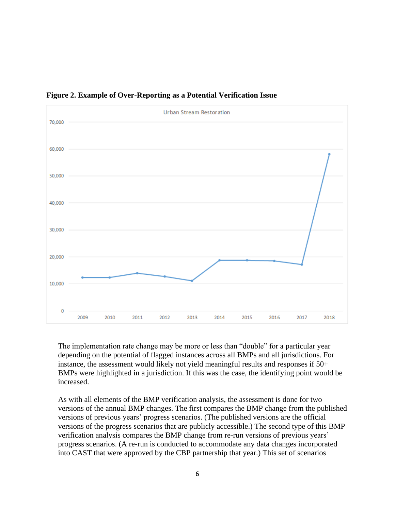

### **Figure 2. Example of Over-Reporting as a Potential Verification Issue**

The implementation rate change may be more or less than "double" for a particular year depending on the potential of flagged instances across all BMPs and all jurisdictions. For instance, the assessment would likely not yield meaningful results and responses if 50+ BMPs were highlighted in a jurisdiction. If this was the case, the identifying point would be increased.

As with all elements of the BMP verification analysis, the assessment is done for two versions of the annual BMP changes. The first compares the BMP change from the published versions of previous years' progress scenarios. (The published versions are the official versions of the progress scenarios that are publicly accessible.) The second type of this BMP verification analysis compares the BMP change from re-run versions of previous years' progress scenarios. (A re-run is conducted to accommodate any data changes incorporated into CAST that were approved by the CBP partnership that year.) This set of scenarios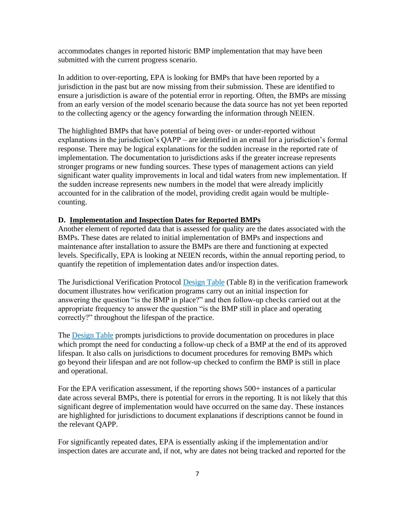accommodates changes in reported historic BMP implementation that may have been submitted with the current progress scenario.

In addition to over-reporting, EPA is looking for BMPs that have been reported by a jurisdiction in the past but are now missing from their submission. These are identified to ensure a jurisdiction is aware of the potential error in reporting. Often, the BMPs are missing from an early version of the model scenario because the data source has not yet been reported to the collecting agency or the agency forwarding the information through NEIEN.

The highlighted BMPs that have potential of being over- or under-reported without explanations in the jurisdiction's QAPP – are identified in an email for a jurisdiction's formal response. There may be logical explanations for the sudden increase in the reported rate of implementation. The documentation to jurisdictions asks if the greater increase represents stronger programs or new funding sources. These types of management actions can yield significant water quality improvements in local and tidal waters from new implementation. If the sudden increase represents new numbers in the model that were already implicitly accounted for in the calibration of the model, providing credit again would be multiplecounting.

## **D. Implementation and Inspection Dates for Reported BMPs**

Another element of reported data that is assessed for quality are the dates associated with the BMPs. These dates are related to initial implementation of BMPs and inspections and maintenance after installation to assure the BMPs are there and functioning at expected levels. Specifically, EPA is looking at NEIEN records, within the annual reporting period, to quantify the repetition of implementation dates and/or inspection dates.

The Jurisdictional Verification Protocol [Design Table](https://www.chesapeakebay.net/documents/Table_8_verification_webpage.pdf) (Table 8) in the verification framework document illustrates how verification programs carry out an initial inspection for answering the question "is the BMP in place?" and then follow-up checks carried out at the appropriate frequency to answer the question "is the BMP still in place and operating correctly?" throughout the lifespan of the practice.

The **[Design Table](https://www.chesapeakebay.net/documents/Table_8_verification_webpage.pdf)** prompts jurisdictions to provide documentation on procedures in place which prompt the need for conducting a follow-up check of a BMP at the end of its approved lifespan. It also calls on jurisdictions to document procedures for removing BMPs which go beyond their lifespan and are not follow-up checked to confirm the BMP is still in place and operational.

For the EPA verification assessment, if the reporting shows 500+ instances of a particular date across several BMPs, there is potential for errors in the reporting. It is not likely that this significant degree of implementation would have occurred on the same day. These instances are highlighted for jurisdictions to document explanations if descriptions cannot be found in the relevant QAPP.

For significantly repeated dates, EPA is essentially asking if the implementation and/or inspection dates are accurate and, if not, why are dates not being tracked and reported for the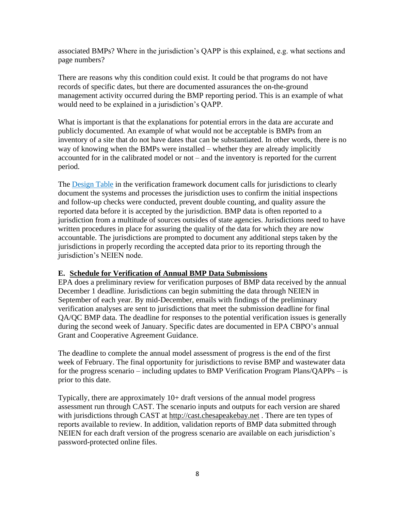associated BMPs? Where in the jurisdiction's QAPP is this explained, e.g. what sections and page numbers?

There are reasons why this condition could exist. It could be that programs do not have records of specific dates, but there are documented assurances the on-the-ground management activity occurred during the BMP reporting period. This is an example of what would need to be explained in a jurisdiction's QAPP.

What is important is that the explanations for potential errors in the data are accurate and publicly documented. An example of what would not be acceptable is BMPs from an inventory of a site that do not have dates that can be substantiated. In other words, there is no way of knowing when the BMPs were installed – whether they are already implicitly accounted for in the calibrated model or not – and the inventory is reported for the current period.

The [Design Table](https://www.chesapeakebay.net/documents/Table_8_verification_webpage.pdf) in the verification framework document calls for jurisdictions to clearly document the systems and processes the jurisdiction uses to confirm the initial inspections and follow-up checks were conducted, prevent double counting, and quality assure the reported data before it is accepted by the jurisdiction. BMP data is often reported to a jurisdiction from a multitude of sources outsides of state agencies. Jurisdictions need to have written procedures in place for assuring the quality of the data for which they are now accountable. The jurisdictions are prompted to document any additional steps taken by the jurisdictions in properly recording the accepted data prior to its reporting through the jurisdiction's NEIEN node.

## **E. Schedule for Verification of Annual BMP Data Submissions**

EPA does a preliminary review for verification purposes of BMP data received by the annual December 1 deadline. Jurisdictions can begin submitting the data through NEIEN in September of each year. By mid-December, emails with findings of the preliminary verification analyses are sent to jurisdictions that meet the submission deadline for final QA/QC BMP data. The deadline for responses to the potential verification issues is generally during the second week of January. Specific dates are documented in EPA CBPO's annual Grant and Cooperative Agreement Guidance.

The deadline to complete the annual model assessment of progress is the end of the first week of February. The final opportunity for jurisdictions to revise BMP and wastewater data for the progress scenario – including updates to BMP Verification Program Plans/QAPPs – is prior to this date.

Typically, there are approximately 10+ draft versions of the annual model progress assessment run through CAST. The scenario inputs and outputs for each version are shared with jurisdictions through CAST at [http://cast.chesapeakebay.net](http://cast.chesapeakebay.net/) . There are ten types of reports available to review. In addition, validation reports of BMP data submitted through NEIEN for each draft version of the progress scenario are available on each jurisdiction's password-protected online files.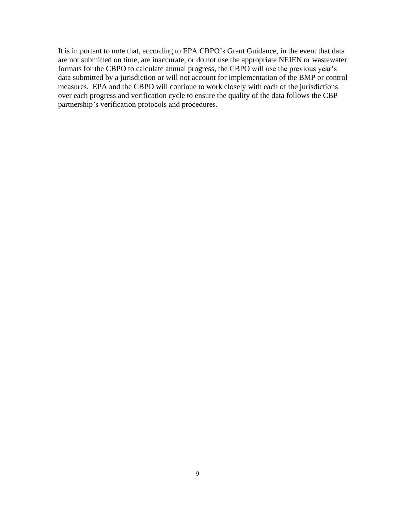It is important to note that, according to EPA CBPO's Grant Guidance, in the event that data are not submitted on time, are inaccurate, or do not use the appropriate NEIEN or wastewater formats for the CBPO to calculate annual progress, the CBPO will use the previous year's data submitted by a jurisdiction or will not account for implementation of the BMP or control measures. EPA and the CBPO will continue to work closely with each of the jurisdictions over each progress and verification cycle to ensure the quality of the data follows the CBP partnership's verification protocols and procedures.